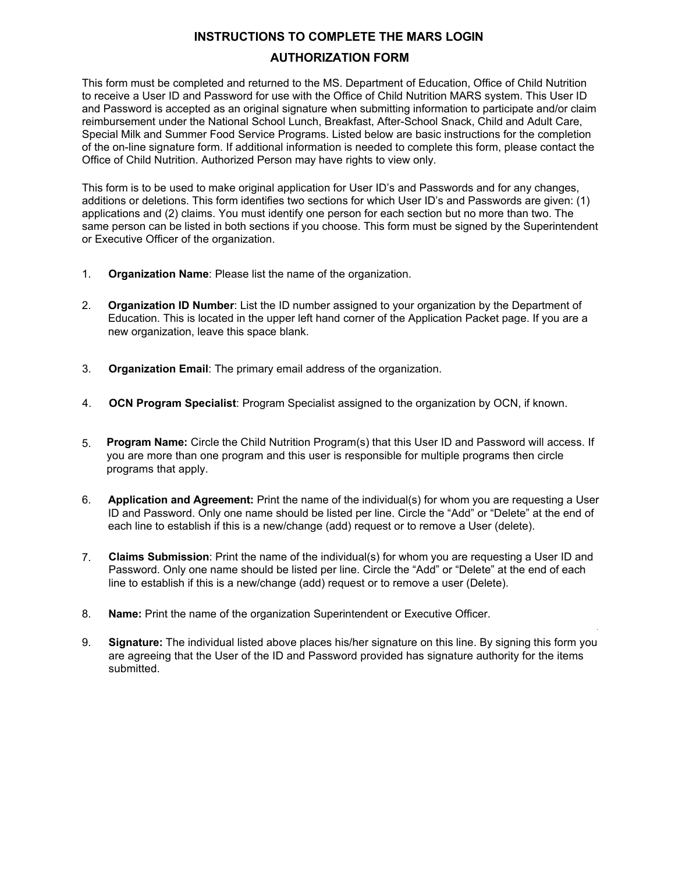## **INSTRUCTIONS TO COMPLETE THE MARS LOGIN**

## **AUTHORIZATION FORM**

This form must be completed and returned to the MS. Department of Education, Office of Child Nutrition to receive a User ID and Password for use with the Office of Child Nutrition MARS system. This User ID and Password is accepted as an original signature when submitting information to participate and/or claim reimbursement under the National School Lunch, Breakfast, After-School Snack, Child and Adult Care, Special Milk and Summer Food Service Programs. Listed below are basic instructions for the completion of the on-line signature form. If additional information is needed to complete this form, please contact the Office of Child Nutrition. Authorized Person may have rights to view only.

This form is to be used to make original application for User ID's and Passwords and for any changes, additions or deletions. This form identifies two sections for which User ID's and Passwords are given: (1) applications and (2) claims. You must identify one person for each section but no more than two. The same person can be listed in both sections if you choose. This form must be signed by the Superintendent or Executive Officer of the organization.

- 1. **Organization Name**: Please list the name of the organization.
- 2. **Organization ID Number**: List the ID number assigned to your organization by the Department of Education. This is located in the upper left hand corner of the Application Packet page. If you are a new organization, leave this space blank.
- 3. **Organization Email**: The primary email address of the organization.
- 4. **OCN Program Specialist**: Program Specialist assigned to the organization by OCN, if known.
- 5. **Program Name:** Circle the Child Nutrition Program(s) that this User ID and Password will access. If you are more than one program and this user is responsible for multiple programs then circle programs that apply.
- 6. **Application and Agreement:** Print the name of the individual(s) for whom you are requesting a User ID and Password. Only one name should be listed per line. Circle the "Add" or "Delete" at the end of each line to establish if this is a new/change (add) request or to remove a User (delete).
- 7. **Claims Submission**: Print the name of the individual(s) for whom you are requesting a User ID and Password. Only one name should be listed per line. Circle the "Add" or "Delete" at the end of each line to establish if this is a new/change (add) request or to remove a user (Delete).
- 8. **Name:** Print the name of the organization Superintendent or Executive Officer.
- 9. **Signature:** The individual listed above places his/her signature on this line. By signing this form you are agreeing that the User of the ID and Password provided has signature authority for the items submitted.